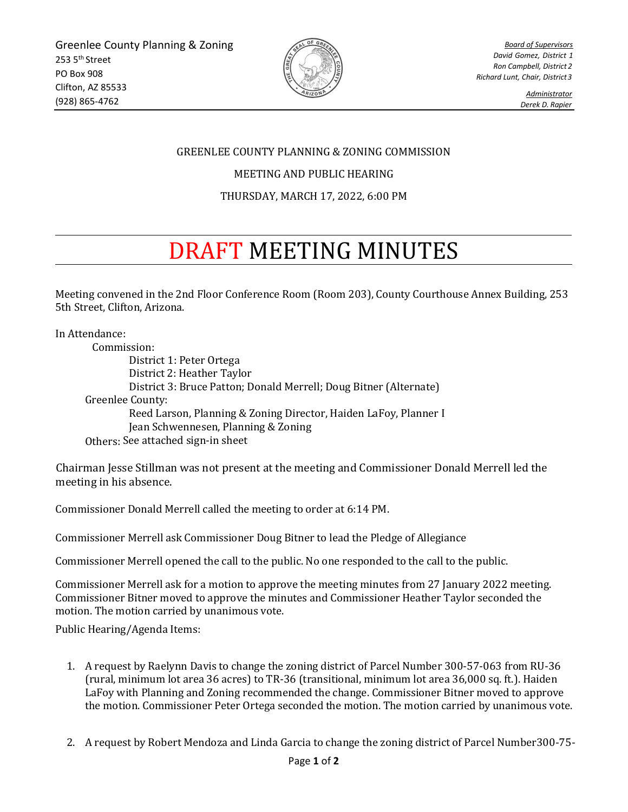

*Board of Supervisors David Gomez, District 1 Ron Campbell, District 2 Richard Lunt, Chair, District3*

> *Administrator Derek D. Rapier*

## GREENLEE COUNTY PLANNING & ZONING COMMISSION

MEETING AND PUBLIC HEARING

## THURSDAY, MARCH 17, 2022, 6:00 PM

## DRAFT MEETING MINUTES

Meeting convened in the 2nd Floor Conference Room (Room 203), County Courthouse Annex Building, 253 5th Street, Clifton, Arizona.

In Attendance: Commission: District 1: Peter Ortega District 2: Heather Taylor District 3: Bruce Patton; Donald Merrell; Doug Bitner (Alternate) Greenlee County: Reed Larson, Planning & Zoning Director, Haiden LaFoy, Planner I Jean Schwennesen, Planning & Zoning Others: See attached sign-in sheet

Chairman Jesse Stillman was not present at the meeting and Commissioner Donald Merrell led the meeting in his absence.

Commissioner Donald Merrell called the meeting to order at 6:14 PM.

Commissioner Merrell ask Commissioner Doug Bitner to lead the Pledge of Allegiance

Commissioner Merrell opened the call to the public. No one responded to the call to the public.

Commissioner Merrell ask for a motion to approve the meeting minutes from 27 January 2022 meeting. Commissioner Bitner moved to approve the minutes and Commissioner Heather Taylor seconded the motion. The motion carried by unanimous vote.

Public Hearing/Agenda Items:

- 1. A request by Raelynn Davis to change the zoning district of Parcel Number 300-57-063 from RU-36 (rural, minimum lot area 36 acres) to TR-36 (transitional, minimum lot area 36,000 sq. ft.). Haiden LaFoy with Planning and Zoning recommended the change. Commissioner Bitner moved to approve the motion. Commissioner Peter Ortega seconded the motion. The motion carried by unanimous vote.
- 2. A request by Robert Mendoza and Linda Garcia to change the zoning district of Parcel Number300-75-